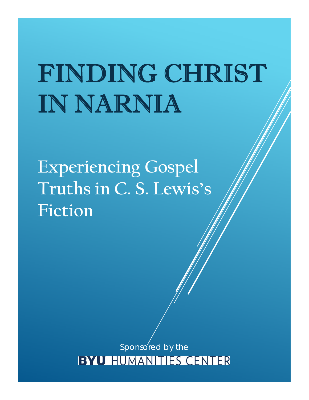# FINDING CHRIST IN NARNIA

**Experiencing Gospel Truths in C. S. Lewis's Fiction**

> Sponsored by the**BYU HUMANITIES CENTER**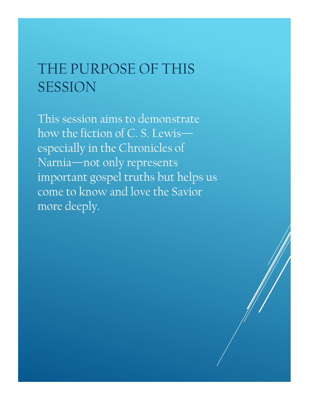## THE PURPOSE OF THIS SESSION

This session aims to demonstrate how the fiction of C. S. Lewis especially in the Chronicles of Narnia—not only represents important gospel truths but helps us come to know and love the Savior more deeply.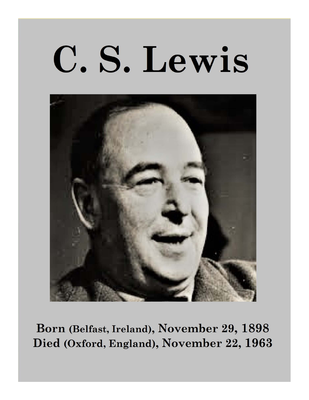# C.S.Lewis



Born (Belfast, Ireland), November 29, 1898 Died (Oxford, England), November 22, 1963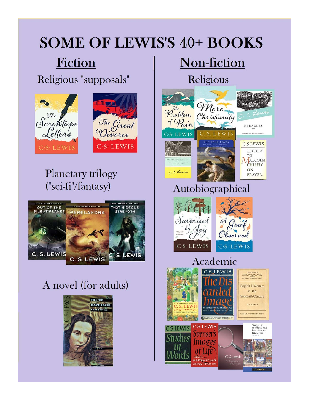# **SOME OF LEWIS'S 40+ BOOKS**

# Fiction

Religious "supposals"



#### **Planetary trilogy** ("sci-fi"/fantasy)



#### A novel (for adults)



# Non-fiction

#### Religious



#### Autobiographical





English Literature in the Sixteenth Century C. S. LEWIS **XPORD UNIVERSITY FREE** 

Studies in<br>Medieval and<br>Renaissance<br>Literature

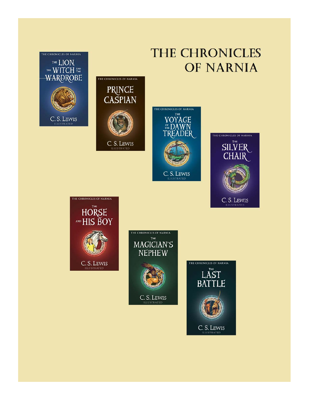

## THE CHRONICLES **OF NARNIA**







THE CHRONICLES OF NARNIA

PRINCE CASPIAN

C.S.LEWIS





C.S. LEWIS **ILLUSTRATED** 

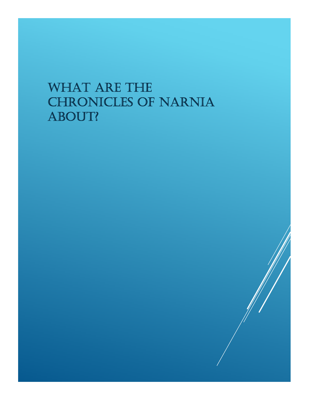## WHAT ARE THE CHRONICLES OF NARNIA ABOUT?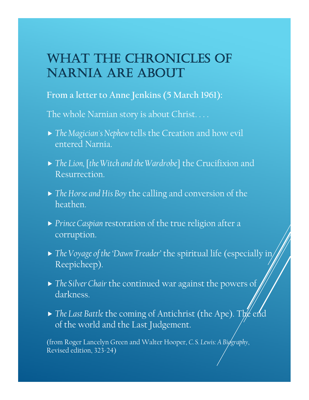## WHAT THE CHRONICLES OF NARNIA ARE ABOUT

**From a letter to Anne Jenkins (5 March 1961):**

The whole Narnian story is about Christ. . . .

- *The Magician's Nephew* tells the Creation and how evil entered Narnia.
- *The Lion,* [*the Witch and the Wardrobe*] the Crucifixion and Resurrection.
- *The Horse and His Boy* the calling and conversion of the heathen.
- *Prince Caspian* restoration of the true religion after a corruption.
- *The Voyage of the 'Dawn Treader'* the spiritual life (especially in Reepicheep).
- *The Silver Chair* the continued war against the powers of darkness.
- ▶ *The Last Battle* the coming of Antichrist (the Ape). The end of the world and the Last Judgement.

(from Roger Lancelyn Green and Walter Hooper, *C. S. Lewis: A Biography*, Revised edition, 323-24)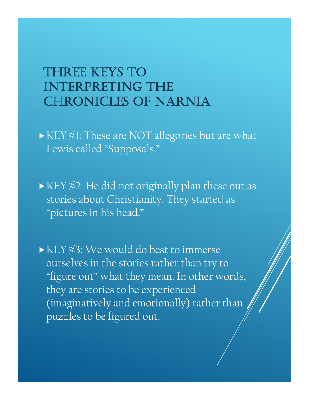#### THREE KEYS TO INTERPRETING THE CHRONICLES OF NARNIA

KEY #1: These are NOT allegories but are what Lewis called "Supposals."

 $\triangleright$  KEY #2: He did not originally plan these out as stories about Christianity. They started as "pictures in his head."

KEY #3: We would do best to immerse ourselves in the stories rather than try to "figure out" what they mean. In other words, they are stories to be experienced (imaginatively and emotionally) rather than puzzles to be figured out.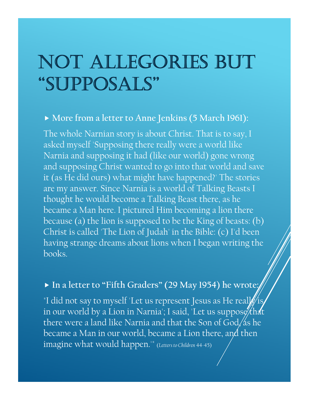# NOT ALLEGORIES BUT "SUPPOSALS"

**More from a letter to Anne Jenkins (5 March 1961):**

The whole Narnian story is about Christ. That is to say, I asked myself 'Supposing there really were a world like Narnia and supposing it had (like our world) gone wrong and supposing Christ wanted to go into that world and save it (as He did ours) what might have happened?' The stories are my answer. Since Narnia is a world of Talking Beasts I thought he would become a Talking Beast there, as he became a Man here. I pictured Him becoming a lion there because (a) the lion is supposed to be the King of beasts: (b) Christ is called 'The Lion of Judah' in the Bible: (c) I'd been having strange dreams about lions when I began writing the books.

#### **In a letter to "Fifth Graders" (29 May 1954) he wrote:**

"I did not say to myself 'Let us represent Jesus as He reall is in our world by a Lion in Narnia'; I said, 'Let us suppose that there were a land like Narnia and that the Son of  $God/4s$  he became a Man in our world, became a Lion there, and then imagine what would happen.'" (*Letters to Children* 44-45)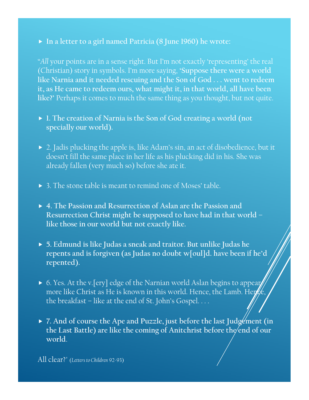**In a letter to a girl named Patricia (8 June 1960) he wrote:**

"*All* your points are in a sense right. But I'm not exactly 'representing' the real (Christian) story in symbols. I'm more saying, **'Suppose there were a world like Narnia and it needed rescuing and the Son of God . . . went to redeem it, as He came to redeem ours, what might it, in that world, all have been like?'** Perhaps it comes to much the same thing as you thought, but not quite.

- **1. The creation of Narnia is the Son of God creating a world (not specially our world).**
- 2. Jadis plucking the apple is, like Adam's sin, an act of disobedience, but it doesn't fill the same place in her life as his plucking did in his. She was already fallen (very much so) before she ate it.
- ▶ 3. The stone table is meant to remind one of Moses' table.
- **4. The Passion and Resurrection of Aslan are the Passion and Resurrection Christ might be supposed to have had in that world – like those in our world but not exactly like.**
- **5. Edmund is like Judas a sneak and traitor. But unlike Judas he repents and is forgiven (as Judas no doubt w[oul]d. have been if he'd repented).**
- ▶ 6. Yes. At the v. [ery] edge of the Narnian world Aslan begins to appear more like Christ as He is known in this world. Hence, the Lamb. Hence, the breakfast - like at the end of St. John's Gospel....
- ▶ 7. And of course the Ape and Puzzle, just before the last Judgement (in the Last Battle) are like the coming of Anitchrist before the end of our **world**.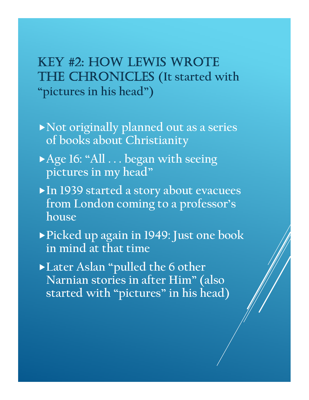KEY #2: HOW LEWIS WROTE THE CHRONICLES **(It started with "pictures in his head")**

- **Not originally planned out as a series of books about Christianity**
- **Age 16: "All . . . began with seeing pictures in my head"**
- **In 1939 started a story about evacuees from London coming to a professor's house**
- **Picked up again in 1949: Just one book in mind at that time**
- **Later Aslan "pulled the 6 other Narnian stories in after Him" (also started with "pictures" in his head)**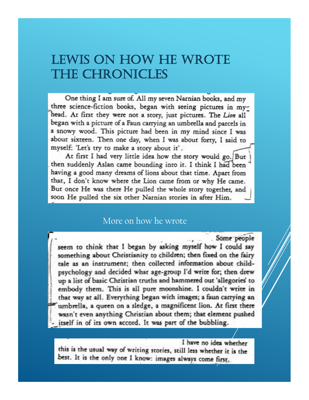#### LEWIS ON HOW HE WROTE THE CHRONICLES

One thing I am sure of. All my seven Narnian books, and my three science-fiction books, began with seeing pictures in myhead. At first they were not a story, just pictures. The Lion all began with a picture of a Faun carrying an umbrella and parcels in a snowy wood. This picture had been in my mind since I was about sixteen. Then one day, when I was about forty, I said to myself: 'Let's try to make a story about it'.

At first I had very little idea how the story would go. But then suddenly Aslan came bounding into it. I think I had been having a good many dreams of lions about that time. Apart from that, I don't know where the Lion came from or why He came. But once He was there He pulled the whole story together, and soon He pulled the six other Narnian stories in after Him.

#### More on how he wrote

Some people

seem to think that I began by asking myself how I could say something about Christianity to children; then fixed on the fairy tale as an instrument; then collected information about childpsychology and decided what age-group I'd write for; then drew up a list of basic Christian truths and hammered out 'allegories' to embody them. This is all pure moonshine. I couldn't write in that way at all. Everything began with images; a faun carrying an umbrella, a queen on a sledge, a magnificent lion. At first there wasn't even anything Christian about them; that element pushed itself in of its own accord. It was part of the bubbling.

I have no idea whether this is the usual way of writing stories, still less whether it is the best. It is the only one I know: images always come first.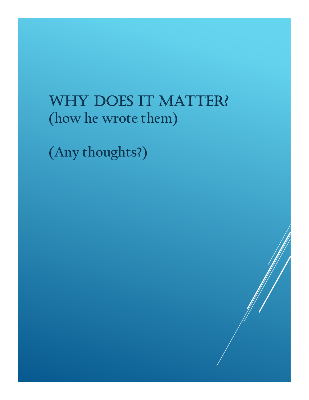# WHY DOES IT MATTER? **(how he wrote them)**

**(Any thoughts?)**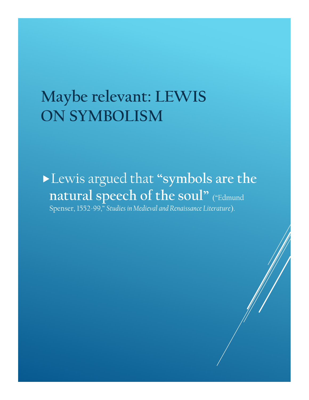# **Maybe relevant: LEWIS ON SYMBOLISM**

#### Lewis argued that **"symbols are the natural speech of the soul"** ("Edmund Spenser, 1552-99," *Studies in Medieval and Renaissance Literature*).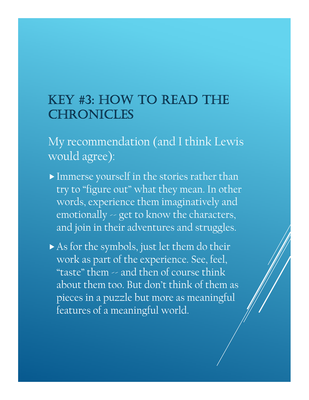#### KEY #3: HOW TO READ THE **CHRONICLES**

My recommendation (and I think Lewis would agree):

- Immerse yourself in the stories rather than try to "figure out" what they mean. In other words, experience them imaginatively and emotionally  $\sim$  get to know the characters, and join in their adventures and struggles.
- As for the symbols, just let them do their work as part of the experience. See, feel, "taste" them -- and then of course think about them too. But don't think of them as pieces in a puzzle but more as meaningful features of a meaningful world.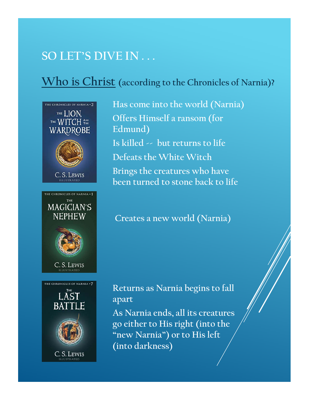#### **SO LET'S DIVE IN . . .**

#### **Who is Christ (according to the Chronicles of Narnia)?**





LLUSTRATED

**Has come into the world (Narnia) Offers Himself a ransom (for Edmund) Is killed -- but returns to life Defeats the White Witch Brings the creatures who have been turned to stone back to life**

**Creates a new world (Narnia)**

**Returns as Narnia begins to fall apart**

**As Narnia ends, all its creatures go either to His right (into the "new Narnia") or to His left (into darkness)**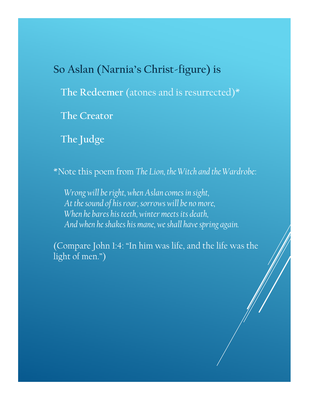#### **So Aslan (Narnia's Christ-figure) is**

The Redeemer (atones and is resurrected)\*

**The Creator**

**The Judge**

\*Note this poem from *The Lion, the Witch and the Wardrobe*:

*Wrong will be right, when Aslan comes in sight, At the sound of his roar, sorrows will be no more, When he bares his teeth, winter meets its death, And when he shakes his mane, we shall have spring again.*

(Compare John 1:4: "In him was life, and the life was the light of men.")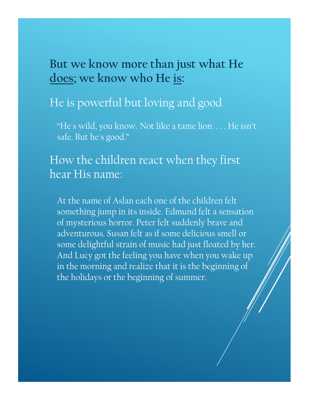#### **But we know more than just what He does; we know who He is:**

#### He is powerful but loving and good

"He's wild, you know. Not like a tame lion. . . . He isn't safe. But he's good."

#### How the children react when they first hear His name:

At the name of Aslan each one of the children felt something jump in its inside. Edmund felt a sensation of mysterious horror. Peter felt suddenly brave and adventurous. Susan felt as if some delicious smell or some delightful strain of music had just floated by her. And Lucy got the feeling you have when you wake up in the morning and realize that it is the beginning of the holidays or the beginning of summer.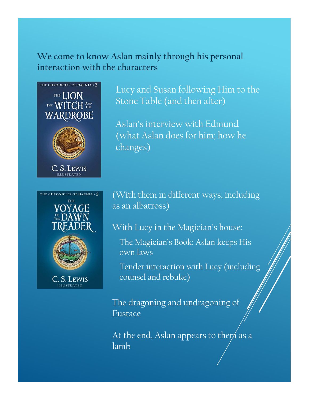#### **We come to know Aslan mainly through his personal interaction with the characters**





Lucy and Susan following Him to the Stone Table (and then after)

Aslan's interview with Edmund (what Aslan does for him; how he changes)

(With them in different ways, including as an albatross)

With Lucy in the Magician's house:

The Magician's Book: Aslan keeps His own laws

Tender interaction with Lucy (including counsel and rebuke)

The dragoning and undragoning of **Eustace** 

At the end, Aslan appears to them as a lamb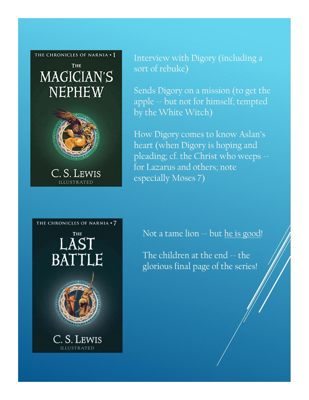THE CHRONICLES OF NARNIA . 1

#### THE **MAGICIAN'S NEPHEW**



**LLUSTRATED** 

Interview with Digory (including a sort of rebuke)

Sends Digory on a mission (to get the apple -- but not for himself; tempted by the White Witch)

How Digory comes to know Aslan's heart (when Digory is hoping and pleading; cf. the Christ who weeps - for Lazarus and others; note especially Moses 7)



The children at the end  $\sim$  the glorious final page of the series!

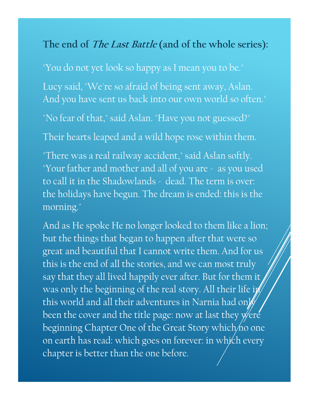#### **The end of The Last Battle (and of the whole series):**

"You do not yet look so happy as I mean you to be."

Lucy said, "We're so afraid of being sent away, Aslan. And you have sent us back into our own world so often."

"No fear of that," said Aslan. "Have you not guessed?"

Their hearts leaped and a wild hope rose within them.

"There was a real railway accident," said Aslan softly. "Your father and mother and all of you are - as you used to call it in the Shadowlands - dead. The term is over: the holidays have begun. The dream is ended: this is the morning."

And as He spoke He no longer looked to them like a lion; but the things that began to happen after that were so great and beautiful that I cannot write them. And for us this is the end of all the stories, and we can most truly say that they all lived happily ever after. But for them it was only the beginning of the real story. All their life in this world and all their adventures in Narnia had only been the cover and the title page: now at last they  $\mathcal{W}$ ere beginning Chapter One of the Great Story which no one on earth has read: which goes on forever: in which every chapter is better than the one before.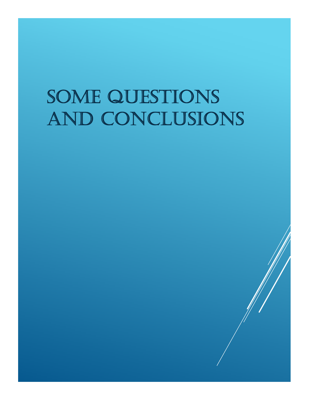# SOME QUESTIONS AND CONCLUSIONS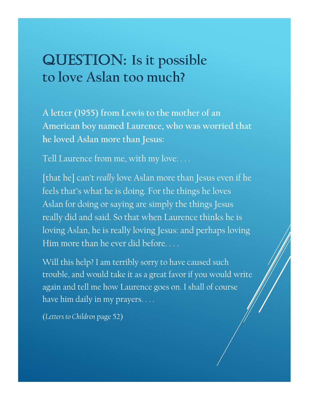## QUESTION: **Is it possible to love Aslan too much?**

**A letter (1955) from Lewis to the mother of an American boy named Laurence, who was worried that he loved Aslan more than Jesus:**

Tell Laurence from me, with my love: . . .

[that he] can't *really* love Aslan more than Jesus even if he feels that's what he is doing. For the things he loves Aslan for doing or saying are simply the things Jesus really did and said. So that when Laurence thinks he is loving Aslan, he is really loving Jesus: and perhaps loving Him more than he ever did before. . . .

Will this help? I am terribly sorry to have caused such trouble, and would take it as a great favor if you would write again and tell me how Laurence goes on. I shall of course have him daily in my prayers. . . .

(*Letters to Children* page 52)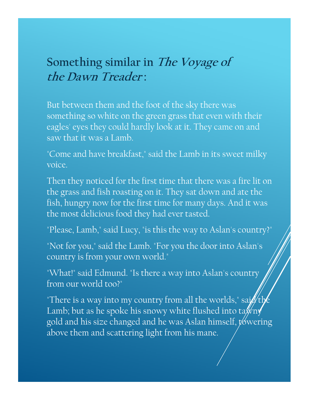#### **Something similar in The Voyage of the Dawn Treader :**

But between them and the foot of the sky there was something so white on the green grass that even with their eagles' eyes they could hardly look at it. They came on and saw that it was a Lamb.

"Come and have breakfast," said the Lamb in its sweet milky voice.

Then they noticed for the first time that there was a fire lit on the grass and fish roasting on it. They sat down and ate the fish, hungry now for the first time for many days. And it was the most delicious food they had ever tasted.

"Please, Lamb," said Lucy, "is this the way to Aslan's country?"

"Not for you," said the Lamb. "For you the door into Aslan's country is from your own world."

"What!" said Edmund. "Is there a way into Aslan's country from our world too?"

"There is a way into my country from all the worlds," sai $\rlap{/}$  the Lamb; but as he spoke his snowy white flushed into  $\text{tawn}\check{\mathbf{y}}$ gold and his size changed and he was Aslan himself,  $\psi$  wering above them and scattering light from his mane.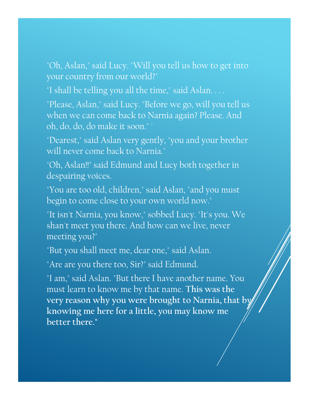"Oh, Aslan," said Lucy. "Will you tell us how to get into your country from our world?"

"I shall be telling you all the time," said Aslan. . . .

"Please, Aslan," said Lucy. "Before we go, will you tell us when we can come back to Narnia again? Please. And oh, do, do, do make it soon." '

"Dearest," said Aslan very gently, "you and your brother will never come back to Narnia."

"Oh, Aslan!!" said Edmund and Lucy both together in despairing voices.

"You are too old, children," said Aslan, "and you must begin to come close to your own world now."

"It isn't Narnia, you know," sobbed Lucy. "It's you. We shan't meet you there. And how can we live, never meeting you?"

"But you shall meet me, dear one," said Aslan.

"Are are you there too, Sir?" said Edmund.

"I am," said Aslan. "But there I have another name. You must learn to know me by that name. **This was the very reason why you were brought to Narnia, that by knowing me here for a little, you may know me better there."**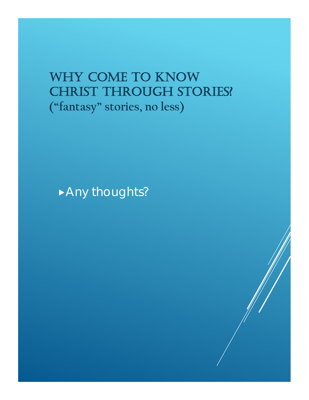## WHY COME TO KNOW CHRIST THROUGH STORIES? **("fantasy" stories, no less)**

## Any thoughts?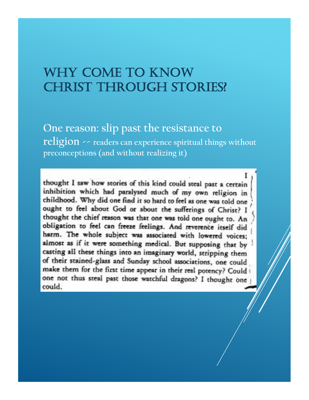#### WHY COME TO KNOW CHRIST THROUGH STORIES?

**One reason: slip past the resistance to religion -- readers can experience spiritual things without preconceptions (and without realizing it)**

thought I saw how stories of this kind could steal past a certain inhibition which had paralysed much of my own religion in childhood. Why did one find it so hard to feel as one was told one ought to feel about God or about the sufferings of Christ? I thought the chief reason was that one was told one ought to. An obligation to feel can freeze feelings. And reverence itself did harm. The whole subject was associated with lowered voices; almost as if it were something medical. But supposing that by casting all these things into an imaginary world, stripping them of their stained-glass and Sunday school associations, one could make them for the first time appear in their real potency? Could one not thus steal past those watchful dragons? I thought one could.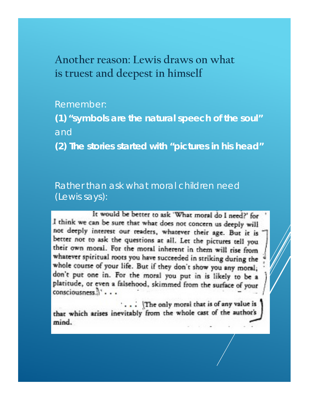**Another reason: Lewis draws on what is truest and deepest in himself**

#### Remember:

**(1) "symbols are the natural speech of the soul"** and

**(2) The stories started with "pictures in his head"**

#### Rather than ask what moral children need (Lewis says):

It would be better to ask 'What moral do I need?' for I think we can be sure that what does not concern us deeply will not deeply interest our readers, whatever their age. But it is better not to ask the questions at all. Let the pictures tell you their own moral. For the moral inherent in them will rise from whatever spiritual roots you have succeeded in striking during the whole course of your life. But if they don't show you any moral, don't put one in. For the moral you put in is likely to be a platitude, or even a falsehood, skimmed from the surface of your  $consciousness.$ <sup>1</sup>...

The only moral that is of any value is that which arises inevitably from the whole cast of the author's mind.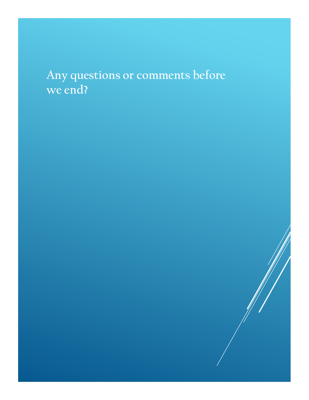#### **Any questions or comments before we end?**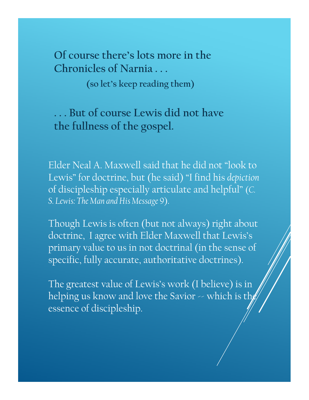**Of course there's lots more in the Chronicles of Narnia . . .** 

**(so let's keep reading them)**

**. . . But of course Lewis did not have the fullness of the gospel.**

Elder Neal A. Maxwell said that he did not "look to Lewis" for doctrine, but (he said) "I find his *depiction* of discipleship especially articulate and helpful" (*C. S. Lewis: The Man and His Message* 9).

Though Lewis is often (but not always) right about doctrine, I agree with Elder Maxwell that Lewis's primary value to us in not doctrinal (in the sense of specific, fully accurate, authoritative doctrines).

The greatest value of Lewis's work (I believe) is in helping us know and love the Savior  $\sim$  which is the essence of discipleship.